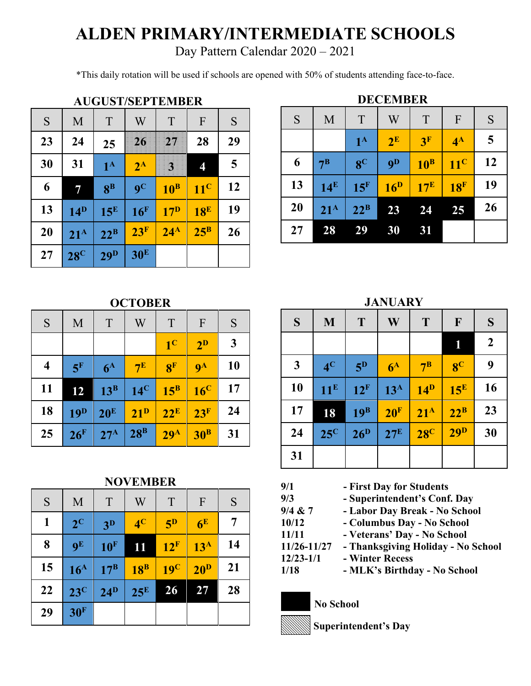## **ALDEN PRIMARY/INTERMEDIATE SCHOOLS**

Day Pattern Calendar 2020 – 2021

\*This daily rotation will be used if schools are opened with 50% of students attending face-to-face.

| <b>AUGUST/SEPTEMBER</b> |                   |                         |                           |                 |                 |    |
|-------------------------|-------------------|-------------------------|---------------------------|-----------------|-----------------|----|
| S                       | M                 | T                       | W                         | T               | $\overline{F}$  | S  |
| 23                      | 24                | 25                      | $26 \,$                   | 27              | 28              | 29 |
| 30                      | 31                | $1^{\mathrm{A}}$        | $2^{\rm A}$               | Ŋ               | 4               | 5  |
| 6                       | 7                 | $\mathbf{R}^{\text{B}}$ | $\mathbf{Q}^{\mathbf{C}}$ | $10^{\rm B}$    | $11^{\rm C}$    | 12 |
| 13                      | $14^{\mathrm{D}}$ | $15^{\rm E}$            | 16 <sup>F</sup>           | 17 <sup>D</sup> | 18 <sup>E</sup> | 19 |
| 20                      | $21^{\rm A}$      | $22^{\rm B}$            | 23 <sup>F</sup>           | $24^{\rm A}$    | $25^{\rm B}$    | 26 |
| 27                      | $28^{\circ}$      | 29 <sup>D</sup>         | 30 <sup>E</sup>           |                 |                 |    |

|    |                 |                 | <b>DECEMBER</b> |                |                 |    |
|----|-----------------|-----------------|-----------------|----------------|-----------------|----|
| S  | M               | T               | W               | T              | F               | S  |
|    |                 | $1^{\rm A}$     | $2^E$           | 3 <sup>F</sup> | $4^{\rm A}$     | 5  |
| 6  | 7 <sup>B</sup>  | 8 <sup>C</sup>  | 9 <sub>D</sub>  | $10^B$         | $11^{\circ}$    | 12 |
| 13 | 14 <sup>E</sup> | 15 <sup>F</sup> | 16 <sup>D</sup> | $17^E$         | 18 <sup>F</sup> | 19 |
| 20 | $21^A$          | $22^B$          | 23              | 24             | 25              | 26 |
| 27 | 28              | 29              | 30              | 31             |                 |    |

## **OCTOBER**

| S                       | M               | T               | W                 | T                 | F                         | S            |
|-------------------------|-----------------|-----------------|-------------------|-------------------|---------------------------|--------------|
|                         |                 |                 |                   | 1 <sup>C</sup>    | $2^{\rm D}$               | $\mathbf{3}$ |
| $\overline{\mathbf{4}}$ | 5 <sup>F</sup>  | $6^{\rm A}$     | $7^{\rm E}$       | 8 <sup>F</sup>    | $\mathbf{Q}^{\mathbf{A}}$ | 10           |
| 11                      | 12              | $13^B$          | $14^{\circ}$      | $15^{\mathrm{B}}$ | $16^{\circ}$              | 17           |
| 18                      | 19 <sup>D</sup> | 20 <sup>E</sup> | $21^{\mathrm{D}}$ | $22^E$            | 23 <sup>F</sup>           | 24           |
| 25                      | $26$ F          | $27^{\rm A}$    | $28^B$            | 29 <sup>A</sup>   | 30 <sup>B</sup>           | 31           |

**NOVEMBER**

| S  | M               | T                 | W               | T               | $\Gamma$        | S  |
|----|-----------------|-------------------|-----------------|-----------------|-----------------|----|
| 1  | $2^{\rm C}$     | 3 <sup>D</sup>    | 4 <sup>C</sup>  | $5^{\rm D}$     | 6 <sup>E</sup>  | 7  |
| 8  | 9 <sup>E</sup>  | 10 <sup>F</sup>   | 11              | 12 <sup>F</sup> | 13 <sup>A</sup> | 14 |
| 15 | 16 <sup>A</sup> | $17^{\mathrm{B}}$ | $18^{\text{B}}$ | 19 <sup>C</sup> | 20 <sup>D</sup> | 21 |
| 22 | $23^{\circ}$    | $24^{\rm D}$      | $25^{\rm E}$    | $2\overline{6}$ | 27              | 28 |
| 29 | 30 <sup>F</sup> |                   |                 |                 |                 |    |

**JANUARY**

| S            | M              | T                 | W                 | T              | $\mathbf{F}$    | S                |
|--------------|----------------|-------------------|-------------------|----------------|-----------------|------------------|
|              |                |                   |                   |                | 1               | $\boldsymbol{2}$ |
| $\mathbf{3}$ | 4 <sup>C</sup> | 5 <sup>D</sup>    | $6^{\rm A}$       | 7 <sup>B</sup> | 8 <sup>C</sup>  | 9                |
| 10           | $11^E$         | 12 <sup>F</sup>   | $13^{\mathrm{A}}$ | $14^{\rm D}$   | $15^E$          | 16               |
| 17           | 18             | 19 <sup>B</sup>   | 20 <sup>F</sup>   | $21^{\rm A}$   | $22^B$          | 23               |
| 24           | $25^{\circ}$   | $26^{\mathrm{D}}$ | $27^{\rm E}$      | $28^\circ$     | 29 <sup>D</sup> | 30               |
| 31           |                |                   |                   |                |                 |                  |

| 9/1           | - First Day for Students           |
|---------------|------------------------------------|
| 9/3           | - Superintendent's Conf. Day       |
| 9/4 & 7       | - Labor Day Break - No School      |
| 10/12         | - Columbus Day - No School         |
| 11/11         | - Veterans' Day - No School        |
| 11/26-11/27   | - Thanksgiving Holiday - No School |
| $12/23 - 1/1$ | - Winter Recess                    |
| 1/18          | - MLK's Birthday - No School       |
|               |                                    |

## **No School**

l.

**Superintendent's Day**